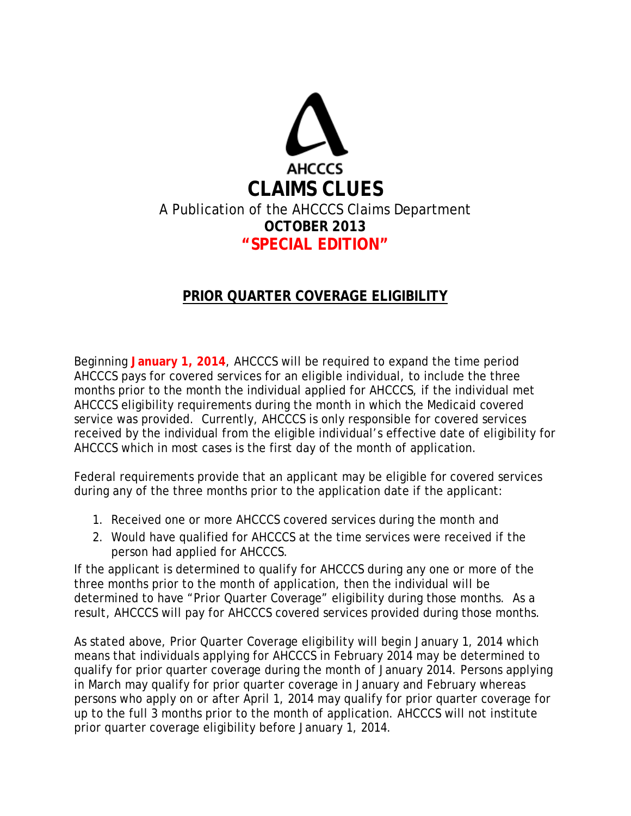

## **PRIOR QUARTER COVERAGE ELIGIBILITY**

Beginning **January 1, 2014**, AHCCCS will be required to expand the time period AHCCCS pays for covered services for an eligible individual, to include the three months prior to the month the individual applied for AHCCCS, if the individual met AHCCCS eligibility requirements during the month in which the Medicaid covered service was provided. Currently, AHCCCS is only responsible for covered services received by the individual from the eligible individual's effective date of eligibility for AHCCCS which in most cases is the first day of the month of application.

Federal requirements provide that an applicant may be eligible for covered services during any of the three months prior to the application date if the applicant:

- 1. Received one or more AHCCCS covered services during the month and
- 2. Would have qualified for AHCCCS at the time services were received if the person had applied for AHCCCS.

If the applicant is determined to qualify for AHCCCS during any one or more of the three months prior to the month of application, then the individual will be determined to have "Prior Quarter Coverage" eligibility during those months. As a result, AHCCCS will pay for AHCCCS covered services provided during those months.

As stated above, Prior Quarter Coverage eligibility will begin January 1, 2014 which means that individuals applying for AHCCCS in February 2014 may be determined to qualify for prior quarter coverage during the month of January 2014. Persons applying in March may qualify for prior quarter coverage in January and February whereas persons who apply on or after April 1, 2014 may qualify for prior quarter coverage for up to the full 3 months prior to the month of application. AHCCCS will not institute prior quarter coverage eligibility before January 1, 2014.